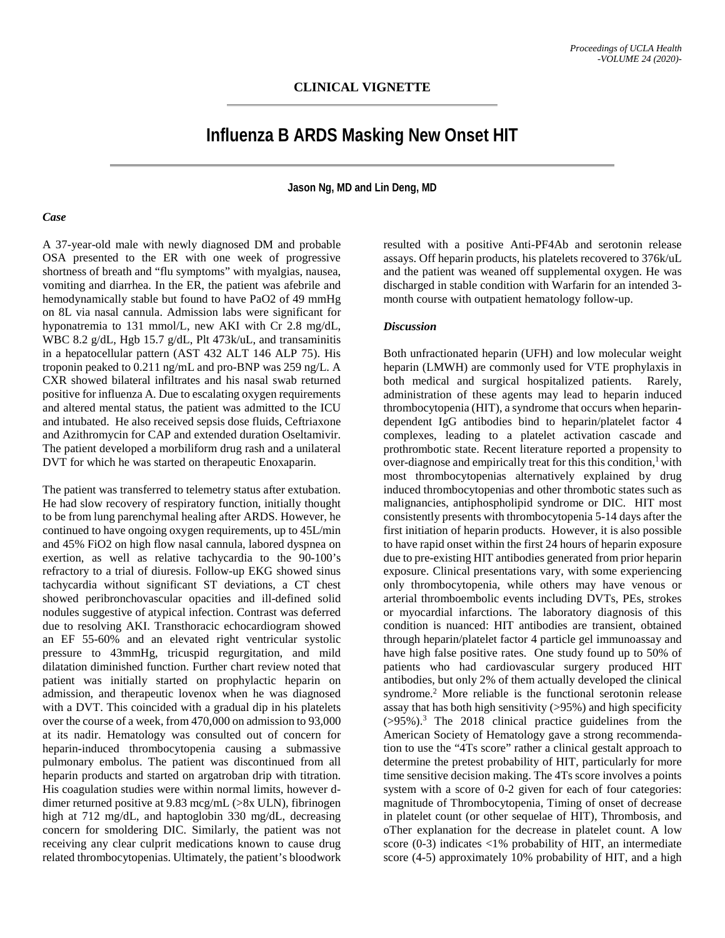# **Influenza B ARDS Masking New Onset HIT**

**Jason Ng, MD and Lin Deng, MD**

#### *Case*

A 37-year-old male with newly diagnosed DM and probable OSA presented to the ER with one week of progressive shortness of breath and "flu symptoms" with myalgias, nausea, vomiting and diarrhea. In the ER, the patient was afebrile and hemodynamically stable but found to have PaO2 of 49 mmHg on 8L via nasal cannula. Admission labs were significant for hyponatremia to 131 mmol/L, new AKI with Cr 2.8 mg/dL, WBC 8.2 g/dL, Hgb 15.7 g/dL, Plt 473k/uL, and transaminitis in a hepatocellular pattern (AST 432 ALT 146 ALP 75). His troponin peaked to 0.211 ng/mL and pro-BNP was 259 ng/L. A CXR showed bilateral infiltrates and his nasal swab returned positive for influenza A. Due to escalating oxygen requirements and altered mental status, the patient was admitted to the ICU and intubated. He also received sepsis dose fluids, Ceftriaxone and Azithromycin for CAP and extended duration Oseltamivir. The patient developed a morbiliform drug rash and a unilateral DVT for which he was started on therapeutic Enoxaparin.

The patient was transferred to telemetry status after extubation. He had slow recovery of respiratory function, initially thought to be from lung parenchymal healing after ARDS. However, he continued to have ongoing oxygen requirements, up to 45L/min and 45% FiO2 on high flow nasal cannula, labored dyspnea on exertion, as well as relative tachycardia to the 90-100's refractory to a trial of diuresis. Follow-up EKG showed sinus tachycardia without significant ST deviations, a CT chest showed peribronchovascular opacities and ill-defined solid nodules suggestive of atypical infection. Contrast was deferred due to resolving AKI. Transthoracic echocardiogram showed an EF 55-60% and an elevated right ventricular systolic pressure to 43mmHg, tricuspid regurgitation, and mild dilatation diminished function. Further chart review noted that patient was initially started on prophylactic heparin on admission, and therapeutic lovenox when he was diagnosed with a DVT. This coincided with a gradual dip in his platelets over the course of a week, from 470,000 on admission to 93,000 at its nadir. Hematology was consulted out of concern for heparin-induced thrombocytopenia causing a submassive pulmonary embolus. The patient was discontinued from all heparin products and started on argatroban drip with titration. His coagulation studies were within normal limits, however ddimer returned positive at 9.83 mcg/mL (>8x ULN), fibrinogen high at 712 mg/dL, and haptoglobin 330 mg/dL, decreasing concern for smoldering DIC. Similarly, the patient was not receiving any clear culprit medications known to cause drug related thrombocytopenias. Ultimately, the patient's bloodwork resulted with a positive Anti-PF4Ab and serotonin release assays. Off heparin products, his platelets recovered to 376k/uL and the patient was weaned off supplemental oxygen. He was discharged in stable condition with Warfarin for an intended 3 month course with outpatient hematology follow-up.

### *Discussion*

Both unfractionated heparin (UFH) and low molecular weight heparin (LMWH) are commonly used for VTE prophylaxis in both medical and surgical hospitalized patients. Rarely, administration of these agents may lead to heparin induced thrombocytopenia (HIT), a syndrome that occurs when heparindependent IgG antibodies bind to heparin/platelet factor 4 complexes, leading to a platelet activation cascade and prothrombotic state. Recent literature reported a propensity to over-diagnose and empirically treat for this this condition,<sup>1</sup> with most thrombocytopenias alternatively explained by drug induced thrombocytopenias and other thrombotic states such as malignancies, antiphospholipid syndrome or DIC. HIT most consistently presents with thrombocytopenia 5-14 days after the first initiation of heparin products. However, it is also possible to have rapid onset within the first 24 hours of heparin exposure due to pre-existing HIT antibodies generated from prior heparin exposure. Clinical presentations vary, with some experiencing only thrombocytopenia, while others may have venous or arterial thromboembolic events including DVTs, PEs, strokes or myocardial infarctions. The laboratory diagnosis of this condition is nuanced: HIT antibodies are transient, obtained through heparin/platelet factor 4 particle gel immunoassay and have high false positive rates. One study found up to 50% of patients who had cardiovascular surgery produced HIT antibodies, but only 2% of them actually developed the clinical syndrome.2 More reliable is the functional serotonin release assay that has both high sensitivity (>95%) and high specificity  $(>95%)$ .<sup>3</sup> The 2018 clinical practice guidelines from the American Society of Hematology gave a strong recommendation to use the "4Ts score" rather a clinical gestalt approach to determine the pretest probability of HIT, particularly for more time sensitive decision making. The 4Ts score involves a points system with a score of 0-2 given for each of four categories: magnitude of Thrombocytopenia, Timing of onset of decrease in platelet count (or other sequelae of HIT), Thrombosis, and oTher explanation for the decrease in platelet count. A low score  $(0-3)$  indicates  $\langle 1\%$  probability of HIT, an intermediate score (4-5) approximately 10% probability of HIT, and a high